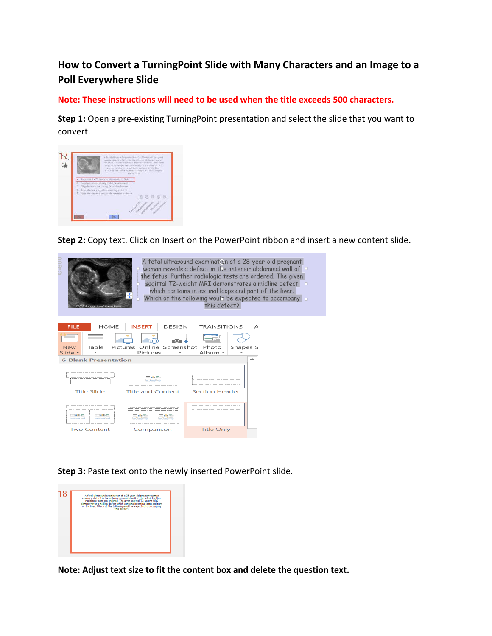## **How to Convert a TurningPoint Slide with Many Characters and an Image to a Poll Everywhere Slide**

## **Note: These instructions will need to be used when the title exceeds 500 characters.**

**Step 1:** Open a pre-existing TurningPoint presentation and select the slide that you want to convert.



**Step 2:** Copy text. Click on Insert on the PowerPoint ribbon and insert a new content slide.

| A fetal ultrasound examination of a 28-year-old pregnant<br>woman reveals a defect in the anterior abdominal wall of<br>the fetus. Further radiologic tests are ordered. The given<br>sagittal T2-weight MRI demonstrates a midline defect<br>which contains intestinal loops and part of the liver.<br>$\ast$<br>Which of the following would be expected to accompany<br>this defect?<br>2007 Marcos Antonio Velasco Sanchez |
|--------------------------------------------------------------------------------------------------------------------------------------------------------------------------------------------------------------------------------------------------------------------------------------------------------------------------------------------------------------------------------------------------------------------------------|
| <b>HOME</b><br><b>INSERT</b><br>FILE<br><b>DESIGN</b><br><b>TRANSITIONS</b><br>А<br>Online Screenshot<br>Table<br>Pictures<br><b>New</b><br>Photo<br>Shapes S<br>Slide $\sim$<br>Album -<br>Pictures<br><b>6 Blank Presentation</b>                                                                                                                                                                                            |
| <b>The Second Second</b><br><b>Title Slide</b><br><b>Section Header</b><br><b>Title and Content</b>                                                                                                                                                                                                                                                                                                                            |
| THE R<br>. .                                                                                                                                                                                                                                                                                                                                                                                                                   |
| <b>Two Content</b><br><b>Title Only</b><br>Comparison                                                                                                                                                                                                                                                                                                                                                                          |

**Step 3:** Paste text onto the newly inserted PowerPoint slide.



**Note: Adjust text size to fit the content box and delete the question text.**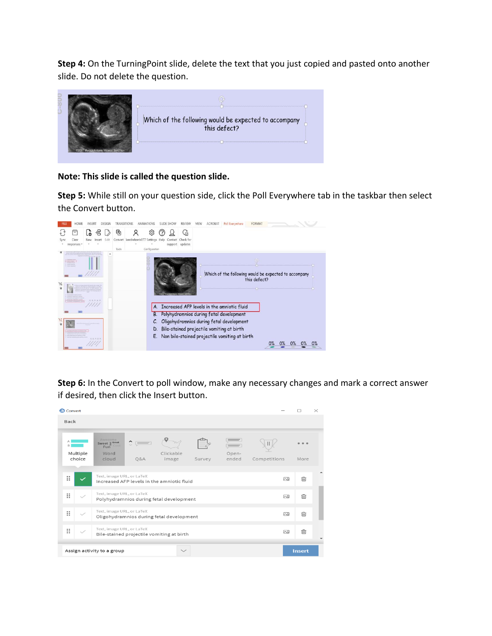**Step 4:** On the TurningPoint slide, delete the text that you just copied and pasted onto another slide. Do not delete the question.

|                                      | Which of the following would be expected to accompany<br>this defect? |
|--------------------------------------|-----------------------------------------------------------------------|
| @2007 Marcos Antonio Velasco Sanchez |                                                                       |

## **Note: This slide is called the question slide.**

**Step 5:** While still on your question side, click the Poll Everywhere tab in the taskbar then select the Convert button.



**Step 6:** In the Convert to poll window, make any necessary changes and mark a correct answer if desired, then click the Insert button.

| <b>ID</b> Convert       |                                                                                   |     |                                            |        |                |              |               | $\times$ |
|-------------------------|-----------------------------------------------------------------------------------|-----|--------------------------------------------|--------|----------------|--------------|---------------|----------|
| <b>Back</b>             |                                                                                   |     |                                            |        |                |              |               |          |
| B<br>Multiple<br>choice | Awesome<br>Sweet $\frac{w}{m}$ Great<br>Cool<br>Fun <sup>"</sup><br>Word<br>cloud | Q&A | Clickable<br>image                         | Survey | Open-<br>ended | Competitions | More          |          |
| ×                       | Text, image URL, or LaTeX                                                         |     | Increased AFP levels in the amniotic fluid |        |                | 闷            | ⋒             |          |
| π                       | Text, image URL, or LaTeX                                                         |     | Polyhydramnios during fetal development    |        |                | $\sim$       | 侕             |          |
| π                       | Text, image URL, or LaTeX                                                         |     | Oligohydramnios during fetal development   |        |                | ⊠            | 而             |          |
| ×                       | Text, image URL, or LaTeX                                                         |     | Bile-stained projectile vomiting at birth  |        |                | 囚            | ⋒             |          |
|                         | Assign activity to a group                                                        |     | $\checkmark$                               |        |                |              | <b>Insert</b> |          |